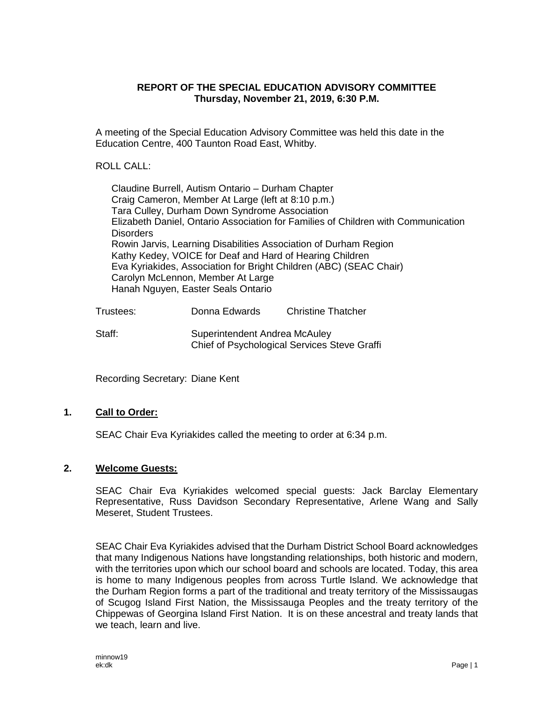### **REPORT OF THE SPECIAL EDUCATION ADVISORY COMMITTEE Thursday, November 21, 2019, 6:30 P.M.**

A meeting of the Special Education Advisory Committee was held this date in the Education Centre, 400 Taunton Road East, Whitby.

## ROLL CALL:

Claudine Burrell, Autism Ontario – Durham Chapter Craig Cameron, Member At Large (left at 8:10 p.m.) Tara Culley, Durham Down Syndrome Association Elizabeth Daniel, Ontario Association for Families of Children with Communication **Disorders** Rowin Jarvis, Learning Disabilities Association of Durham Region Kathy Kedey, VOICE for Deaf and Hard of Hearing Children Eva Kyriakides, Association for Bright Children (ABC) (SEAC Chair) Carolyn McLennon, Member At Large Hanah Nguyen, Easter Seals Ontario

| Trustees: | Donna Edwards                                                                 | <b>Christine Thatcher</b> |
|-----------|-------------------------------------------------------------------------------|---------------------------|
| Staff:    | Superintendent Andrea McAuley<br>Chief of Psychological Services Steve Graffi |                           |

Recording Secretary: Diane Kent

# **1. Call to Order:**

SEAC Chair Eva Kyriakides called the meeting to order at 6:34 p.m.

### **2. Welcome Guests:**

SEAC Chair Eva Kyriakides welcomed special guests: Jack Barclay Elementary Representative, Russ Davidson Secondary Representative, Arlene Wang and Sally Meseret, Student Trustees.

SEAC Chair Eva Kyriakides advised that the Durham District School Board acknowledges that many Indigenous Nations have longstanding relationships, both historic and modern, with the territories upon which our school board and schools are located. Today, this area is home to many Indigenous peoples from across Turtle Island. We acknowledge that the Durham Region forms a part of the traditional and treaty territory of the Mississaugas of Scugog Island First Nation, the Mississauga Peoples and the treaty territory of the Chippewas of Georgina Island First Nation. It is on these ancestral and treaty lands that we teach, learn and live.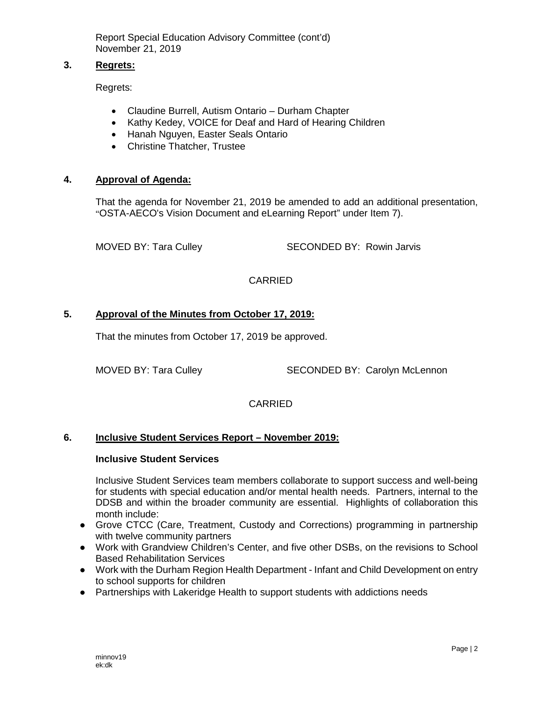### **3. Regrets:**

Regrets:

- Claudine Burrell, Autism Ontario Durham Chapter
- Kathy Kedey, VOICE for Deaf and Hard of Hearing Children
- Hanah Nguyen, Easter Seals Ontario
- Christine Thatcher, Trustee

### **4. Approval of Agenda:**

That the agenda for November 21, 2019 be amended to add an additional presentation, "OSTA-AECO's Vision Document and eLearning Report" under Item 7).

MOVED BY: Tara Culley SECONDED BY: Rowin Jarvis

# CARRIED

## **5. Approval of the Minutes from October 17, 2019:**

That the minutes from October 17, 2019 be approved.

MOVED BY: Tara Culley SECONDED BY: Carolyn McLennon

# CARRIED

### **6. Inclusive Student Services Report – November 2019:**

#### **Inclusive Student Services**

Inclusive Student Services team members collaborate to support success and well-being for students with special education and/or mental health needs. Partners, internal to the DDSB and within the broader community are essential. Highlights of collaboration this month include:

- Grove CTCC (Care, Treatment, Custody and Corrections) programming in partnership with twelve community partners
- Work with Grandview Children's Center, and five other DSBs, on the revisions to School Based Rehabilitation Services
- Work with the Durham Region Health Department Infant and Child Development on entry to school supports for children
- Partnerships with Lakeridge Health to support students with addictions needs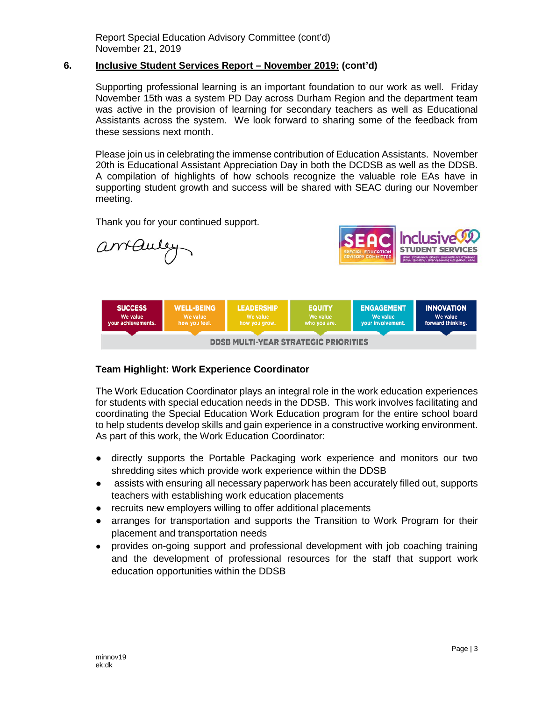### **6. Inclusive Student Services Report – November 2019: (cont'd)**

Supporting professional learning is an important foundation to our work as well. Friday November 15th was a system PD Day across Durham Region and the department team was active in the provision of learning for secondary teachers as well as Educational Assistants across the system. We look forward to sharing some of the feedback from these sessions next month.

Please join us in celebrating the immense contribution of Education Assistants. November 20th is Educational Assistant Appreciation Day in both the DCDSB as well as the DDSB. A compilation of highlights of how schools recognize the valuable role EAs have in supporting student growth and success will be shared with SEAC during our November meeting.

Thank you for your continued support.



### **Team Highlight: Work Experience Coordinator**

The Work Education Coordinator plays an integral role in the work education experiences for students with special education needs in the DDSB. This work involves facilitating and coordinating the Special Education Work Education program for the entire school board to help students develop skills and gain experience in a constructive working environment. As part of this work, the Work Education Coordinator:

- directly supports the Portable Packaging work experience and monitors our two shredding sites which provide work experience within the DDSB
- assists with ensuring all necessary paperwork has been accurately filled out, supports teachers with establishing work education placements
- recruits new employers willing to offer additional placements
- arranges for transportation and supports the Transition to Work Program for their placement and transportation needs
- provides on-going support and professional development with job coaching training and the development of professional resources for the staff that support work education opportunities within the DDSB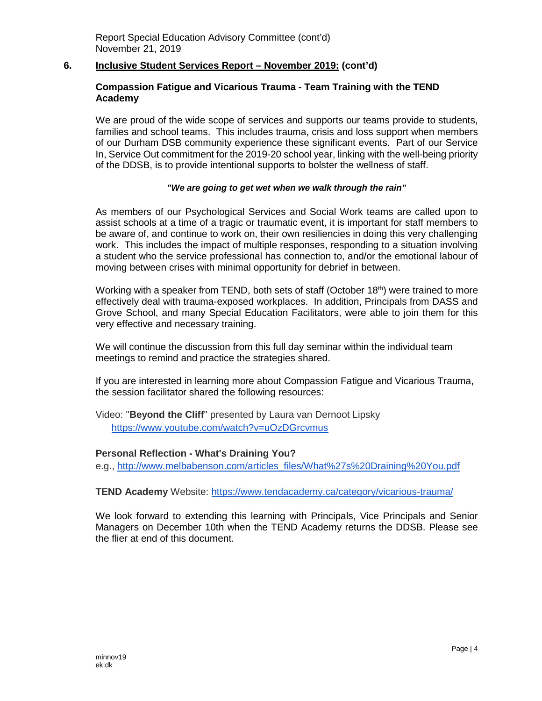### **6. Inclusive Student Services Report – November 2019: (cont'd)**

### **Compassion Fatigue and Vicarious Trauma - Team Training with the TEND Academy**

We are proud of the wide scope of services and supports our teams provide to students, families and school teams. This includes trauma, crisis and loss support when members of our Durham DSB community experience these significant events. Part of our Service In, Service Out commitment for the 2019-20 school year, linking with the well-being priority of the DDSB, is to provide intentional supports to bolster the wellness of staff.

#### *"We are going to get wet when we walk through the rain"*

As members of our Psychological Services and Social Work teams are called upon to assist schools at a time of a tragic or traumatic event, it is important for staff members to be aware of, and continue to work on, their own resiliencies in doing this very challenging work. This includes the impact of multiple responses, responding to a situation involving a student who the service professional has connection to, and/or the emotional labour of moving between crises with minimal opportunity for debrief in between.

Working with a speaker from TEND, both sets of staff (October 18<sup>th</sup>) were trained to more effectively deal with trauma-exposed workplaces. In addition, Principals from DASS and Grove School, and many Special Education Facilitators, were able to join them for this very effective and necessary training.

We will continue the discussion from this full day seminar within the individual team meetings to remind and practice the strategies shared.

If you are interested in learning more about Compassion Fatigue and Vicarious Trauma, the session facilitator shared the following resources:

Video: "**Beyond the Cliff**" presented by Laura van Dernoot Lipsky <https://www.youtube.com/watch?v=uOzDGrcvmus>

#### **Personal Reflection - What's Draining You?**

e.g.[,](http://www.melbabenson.com/articles_files/What%27s%20Draining%20You.pdf) [http://www.melbabenson.com/articles\\_files/What%27s%20Draining%20You.pdf](http://www.melbabenson.com/articles_files/What%27s%20Draining%20You.pdf)

#### **TEND Academy** Website: <https://www.tendacademy.ca/category/vicarious-trauma/>

We look forward to extending this learning with Principals, Vice Principals and Senior Managers on December 10th when the TEND Academy returns the DDSB. Please see the flier at end of this document.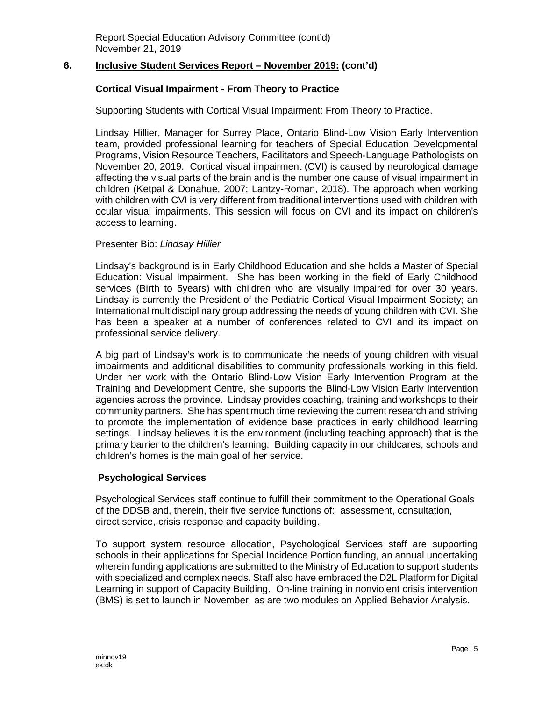### **6. Inclusive Student Services Report – November 2019: (cont'd)**

#### **Cortical Visual Impairment - From Theory to Practice**

Supporting Students with Cortical Visual Impairment: From Theory to Practice.

Lindsay Hillier, Manager for Surrey Place, Ontario Blind-Low Vision Early Intervention team, provided professional learning for teachers of Special Education Developmental Programs, Vision Resource Teachers, Facilitators and Speech-Language Pathologists on November 20, 2019. Cortical visual impairment (CVI) is caused by neurological damage affecting the visual parts of the brain and is the number one cause of visual impairment in children (Ketpal & Donahue, 2007; Lantzy-Roman, 2018). The approach when working with children with CVI is very different from traditional interventions used with children with ocular visual impairments. This session will focus on CVI and its impact on children's access to learning.

#### Presenter Bio: *Lindsay Hillier*

Lindsay's background is in Early Childhood Education and she holds a Master of Special Education: Visual Impairment. She has been working in the field of Early Childhood services (Birth to 5years) with children who are visually impaired for over 30 years. Lindsay is currently the President of the Pediatric Cortical Visual Impairment Society; an International multidisciplinary group addressing the needs of young children with CVI. She has been a speaker at a number of conferences related to CVI and its impact on professional service delivery.

A big part of Lindsay's work is to communicate the needs of young children with visual impairments and additional disabilities to community professionals working in this field. Under her work with the Ontario Blind-Low Vision Early Intervention Program at the Training and Development Centre, she supports the Blind-Low Vision Early Intervention agencies across the province. Lindsay provides coaching, training and workshops to their community partners. She has spent much time reviewing the current research and striving to promote the implementation of evidence base practices in early childhood learning settings. Lindsay believes it is the environment (including teaching approach) that is the primary barrier to the children's learning. Building capacity in our childcares, schools and children's homes is the main goal of her service.

### **Psychological Services**

Psychological Services staff continue to fulfill their commitment to the Operational Goals of the DDSB and, therein, their five service functions of: assessment, consultation, direct service, crisis response and capacity building.

To support system resource allocation, Psychological Services staff are supporting schools in their applications for Special Incidence Portion funding, an annual undertaking wherein funding applications are submitted to the Ministry of Education to support students with specialized and complex needs. Staff also have embraced the D2L Platform for Digital Learning in support of Capacity Building. On-line training in nonviolent crisis intervention (BMS) is set to launch in November, as are two modules on Applied Behavior Analysis.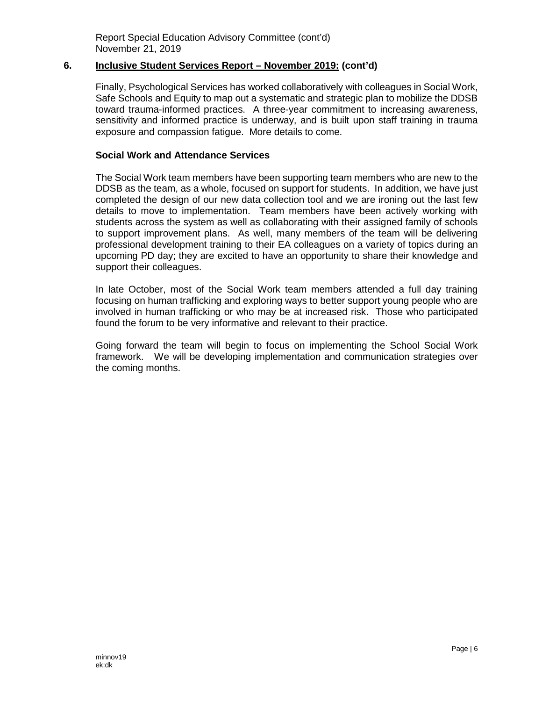#### **6. Inclusive Student Services Report – November 2019: (cont'd)**

Finally, Psychological Services has worked collaboratively with colleagues in Social Work, Safe Schools and Equity to map out a systematic and strategic plan to mobilize the DDSB toward trauma-informed practices. A three-year commitment to increasing awareness, sensitivity and informed practice is underway, and is built upon staff training in trauma exposure and compassion fatigue. More details to come.

#### **Social Work and Attendance Services**

The Social Work team members have been supporting team members who are new to the DDSB as the team, as a whole, focused on support for students. In addition, we have just completed the design of our new data collection tool and we are ironing out the last few details to move to implementation. Team members have been actively working with students across the system as well as collaborating with their assigned family of schools to support improvement plans. As well, many members of the team will be delivering professional development training to their EA colleagues on a variety of topics during an upcoming PD day; they are excited to have an opportunity to share their knowledge and support their colleagues.

In late October, most of the Social Work team members attended a full day training focusing on human trafficking and exploring ways to better support young people who are involved in human trafficking or who may be at increased risk. Those who participated found the forum to be very informative and relevant to their practice.

Going forward the team will begin to focus on implementing the School Social Work framework. We will be developing implementation and communication strategies over the coming months.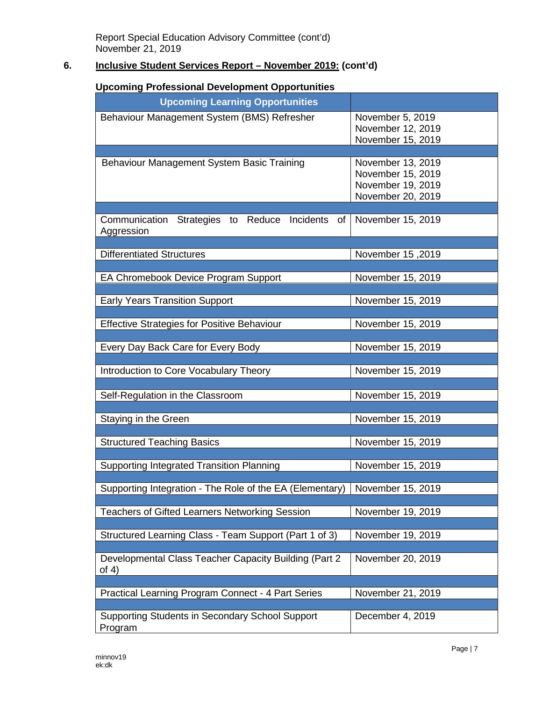# **6. Inclusive Student Services Report – November 2019: (cont'd)**

# **Upcoming Professional Development Opportunities**

| opcoming i rolessional bevelopment opportanties          |                   |
|----------------------------------------------------------|-------------------|
| <b>Upcoming Learning Opportunities</b>                   |                   |
| Behaviour Management System (BMS) Refresher              | November 5, 2019  |
|                                                          | November 12, 2019 |
|                                                          | November 15, 2019 |
|                                                          |                   |
| Behaviour Management System Basic Training               | November 13, 2019 |
|                                                          | November 15, 2019 |
|                                                          | November 19, 2019 |
|                                                          | November 20, 2019 |
|                                                          |                   |
| Communication Strategies to Reduce Incidents of          | November 15, 2019 |
| Aggression                                               |                   |
|                                                          |                   |
| <b>Differentiated Structures</b>                         | November 15,2019  |
|                                                          |                   |
| EA Chromebook Device Program Support                     | November 15, 2019 |
|                                                          |                   |
| <b>Early Years Transition Support</b>                    | November 15, 2019 |
|                                                          |                   |
| <b>Effective Strategies for Positive Behaviour</b>       | November 15, 2019 |
|                                                          | November 15, 2019 |
| Every Day Back Care for Every Body                       |                   |
| Introduction to Core Vocabulary Theory                   | November 15, 2019 |
|                                                          |                   |
| Self-Regulation in the Classroom                         | November 15, 2019 |
|                                                          |                   |
| Staying in the Green                                     | November 15, 2019 |
|                                                          |                   |
| <b>Structured Teaching Basics</b>                        | November 15, 2019 |
|                                                          |                   |
| <b>Supporting Integrated Transition Planning</b>         | November 15, 2019 |
|                                                          |                   |
| Supporting Integration - The Role of the EA (Elementary) | November 15, 2019 |
|                                                          |                   |
| <b>Teachers of Gifted Learners Networking Session</b>    | November 19, 2019 |
|                                                          |                   |
| Structured Learning Class - Team Support (Part 1 of 3)   | November 19, 2019 |
|                                                          |                   |
| Developmental Class Teacher Capacity Building (Part 2)   | November 20, 2019 |
| of $4)$                                                  |                   |
|                                                          |                   |
| Practical Learning Program Connect - 4 Part Series       | November 21, 2019 |
|                                                          |                   |
| Supporting Students in Secondary School Support          | December 4, 2019  |
| Program                                                  |                   |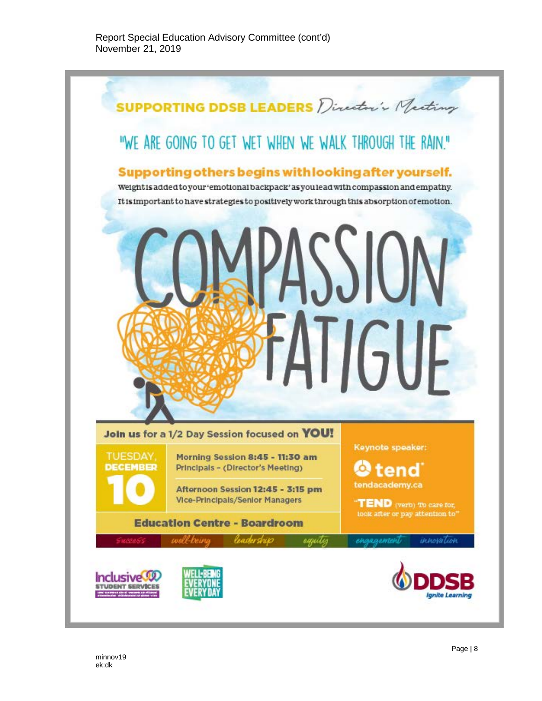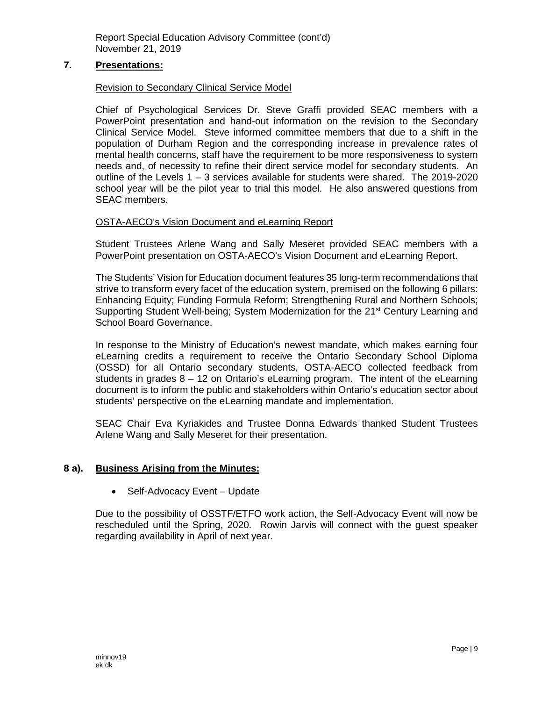### **7. Presentations:**

### Revision to Secondary Clinical Service Model

Chief of Psychological Services Dr. Steve Graffi provided SEAC members with a PowerPoint presentation and hand-out information on the revision to the Secondary Clinical Service Model. Steve informed committee members that due to a shift in the population of Durham Region and the corresponding increase in prevalence rates of mental health concerns, staff have the requirement to be more responsiveness to system needs and, of necessity to refine their direct service model for secondary students. An outline of the Levels 1 – 3 services available for students were shared. The 2019-2020 school year will be the pilot year to trial this model. He also answered questions from SEAC members.

### OSTA-AECO's Vision Document and eLearning Report

Student Trustees Arlene Wang and Sally Meseret provided SEAC members with a PowerPoint presentation on OSTA-AECO's Vision Document and eLearning Report.

The Students' Vision for Education document features 35 long-term recommendations that strive to transform every facet of the education system, premised on the following 6 pillars: Enhancing Equity; Funding Formula Reform; Strengthening Rural and Northern Schools; Supporting Student Well-being; System Modernization for the 21<sup>st</sup> Century Learning and School Board Governance.

In response to the Ministry of Education's newest mandate, which makes earning four eLearning credits a requirement to receive the Ontario Secondary School Diploma (OSSD) for all Ontario secondary students, OSTA-AECO collected feedback from students in grades 8 – 12 on Ontario's eLearning program. The intent of the eLearning document is to inform the public and stakeholders within Ontario's education sector about students' perspective on the eLearning mandate and implementation.

SEAC Chair Eva Kyriakides and Trustee Donna Edwards thanked Student Trustees Arlene Wang and Sally Meseret for their presentation.

### **8 a). Business Arising from the Minutes:**

• Self-Advocacy Event – Update

Due to the possibility of OSSTF/ETFO work action, the Self-Advocacy Event will now be rescheduled until the Spring, 2020. Rowin Jarvis will connect with the guest speaker regarding availability in April of next year.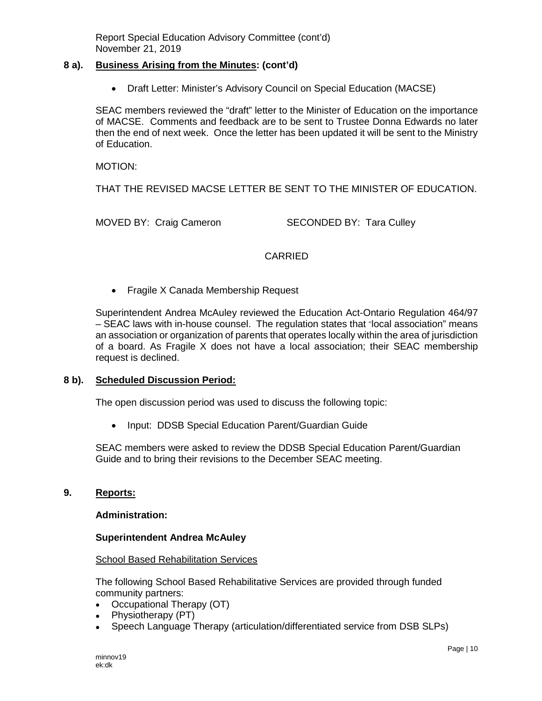#### **8 a). Business Arising from the Minutes: (cont'd)**

• Draft Letter: Minister's Advisory Council on Special Education (MACSE)

SEAC members reviewed the "draft" letter to the Minister of Education on the importance of MACSE. Comments and feedback are to be sent to Trustee Donna Edwards no later then the end of next week. Once the letter has been updated it will be sent to the Ministry of Education.

MOTION:

THAT THE REVISED MACSE LETTER BE SENT TO THE MINISTER OF EDUCATION.

MOVED BY: Craig Cameron SECONDED BY: Tara Culley

### **CARRIED**

• Fragile X Canada Membership Request

Superintendent Andrea McAuley reviewed the Education Act-Ontario Regulation 464/97 – SEAC laws with in-house counsel. The regulation states that "local association" means an association or organization of parents that operates locally within the area of jurisdiction of a board. As Fragile X does not have a local association; their SEAC membership request is declined.

### **8 b). Scheduled Discussion Period:**

The open discussion period was used to discuss the following topic:

• Input: DDSB Special Education Parent/Guardian Guide

SEAC members were asked to review the DDSB Special Education Parent/Guardian Guide and to bring their revisions to the December SEAC meeting.

### **9. Reports:**

#### **Administration:**

#### **Superintendent Andrea McAuley**

#### School Based Rehabilitation Services

The following School Based Rehabilitative Services are provided through funded community partners:

- Occupational Therapy (OT)
- Physiotherapy (PT)
- Speech Language Therapy (articulation/differentiated service from DSB SLPs)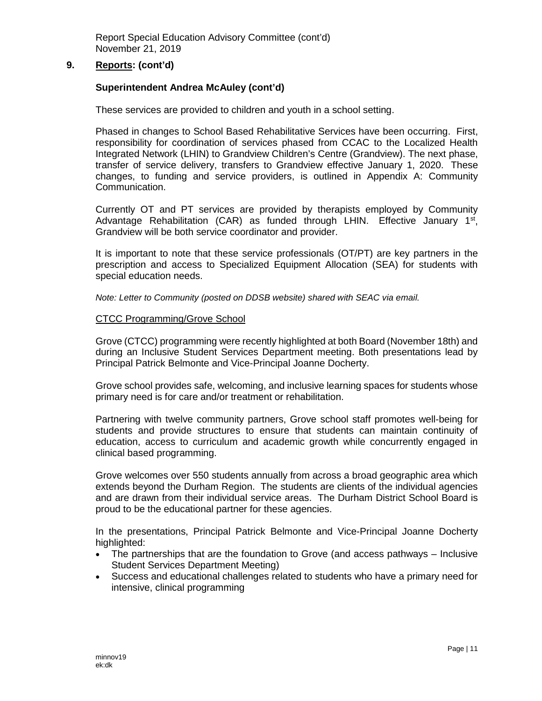### **9. Reports: (cont'd)**

### **Superintendent Andrea McAuley (cont'd)**

These services are provided to children and youth in a school setting.

Phased in changes to School Based Rehabilitative Services have been occurring. First, responsibility for coordination of services phased from CCAC to the Localized Health Integrated Network (LHIN) to Grandview Children's Centre (Grandview). The next phase, transfer of service delivery, transfers to Grandview effective January 1, 2020. These changes, to funding and service providers, is outlined in Appendix A: Community Communication.

Currently OT and PT services are provided by therapists employed by Community Advantage Rehabilitation (CAR) as funded through LHIN. Effective January  $1<sup>st</sup>$ , Grandview will be both service coordinator and provider.

It is important to note that these service professionals (OT/PT) are key partners in the prescription and access to Specialized Equipment Allocation (SEA) for students with special education needs.

*Note: Letter to Community (posted on DDSB website) shared with SEAC via email.*

#### CTCC Programming/Grove School

Grove (CTCC) programming were recently highlighted at both Board (November 18th) and during an Inclusive Student Services Department meeting. Both presentations lead by Principal Patrick Belmonte and Vice-Principal Joanne Docherty.

Grove school provides safe, welcoming, and inclusive learning spaces for students whose primary need is for care and/or treatment or rehabilitation.

Partnering with twelve community partners, Grove school staff promotes well-being for students and provide structures to ensure that students can maintain continuity of education, access to curriculum and academic growth while concurrently engaged in clinical based programming.

Grove welcomes over 550 students annually from across a broad geographic area which extends beyond the Durham Region. The students are clients of the individual agencies and are drawn from their individual service areas. The Durham District School Board is proud to be the educational partner for these agencies.

In the presentations, Principal Patrick Belmonte and Vice-Principal Joanne Docherty highlighted:

- The partnerships that are the foundation to Grove (and access pathways Inclusive Student Services Department Meeting)
- Success and educational challenges related to students who have a primary need for intensive, clinical programming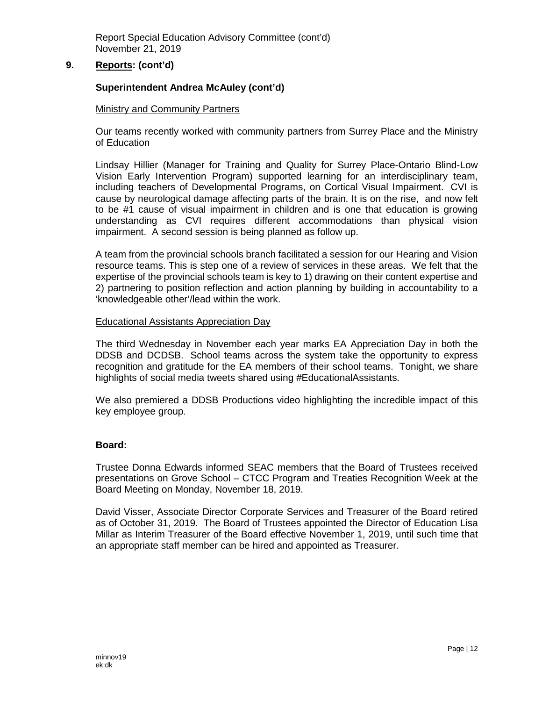## **9. Reports: (cont'd)**

### **Superintendent Andrea McAuley (cont'd)**

#### Ministry and Community Partners

Our teams recently worked with community partners from Surrey Place and the Ministry of Education

Lindsay Hillier (Manager for Training and Quality for Surrey Place-Ontario Blind-Low Vision Early Intervention Program) supported learning for an interdisciplinary team, including teachers of Developmental Programs, on Cortical Visual Impairment. CVI is cause by neurological damage affecting parts of the brain. It is on the rise, and now felt to be #1 cause of visual impairment in children and is one that education is growing understanding as CVI requires different accommodations than physical vision impairment. A second session is being planned as follow up.

A team from the provincial schools branch facilitated a session for our Hearing and Vision resource teams. This is step one of a review of services in these areas. We felt that the expertise of the provincial schools team is key to 1) drawing on their content expertise and 2) partnering to position reflection and action planning by building in accountability to a 'knowledgeable other'/lead within the work.

#### Educational Assistants Appreciation Day

The third Wednesday in November each year marks EA Appreciation Day in both the DDSB and DCDSB. School teams across the system take the opportunity to express recognition and gratitude for the EA members of their school teams. Tonight, we share highlights of social media tweets shared using #EducationalAssistants.

We also premiered a DDSB Productions video highlighting the incredible impact of this key employee group.

#### **Board:**

Trustee Donna Edwards informed SEAC members that the Board of Trustees received presentations on Grove School – CTCC Program and Treaties Recognition Week at the Board Meeting on Monday, November 18, 2019.

David Visser, Associate Director Corporate Services and Treasurer of the Board retired as of October 31, 2019. The Board of Trustees appointed the Director of Education Lisa Millar as Interim Treasurer of the Board effective November 1, 2019, until such time that an appropriate staff member can be hired and appointed as Treasurer.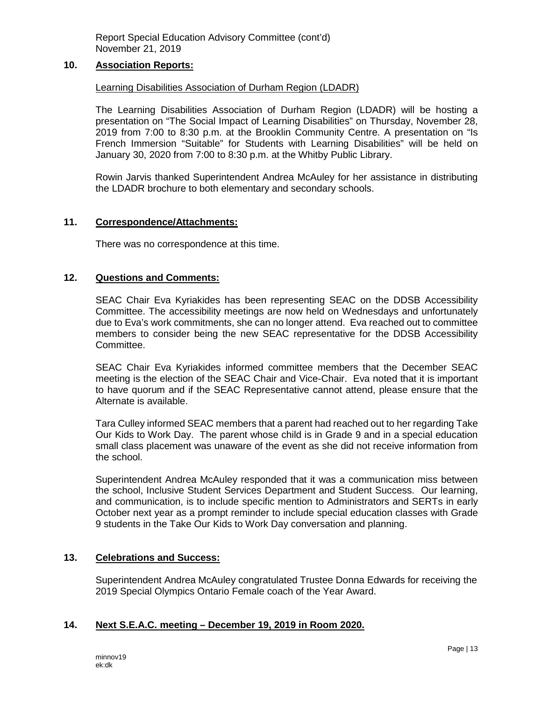### **10. Association Reports:**

#### Learning Disabilities Association of Durham Region (LDADR)

The Learning Disabilities Association of Durham Region (LDADR) will be hosting a presentation on "The Social Impact of Learning Disabilities" on Thursday, November 28, 2019 from 7:00 to 8:30 p.m. at the Brooklin Community Centre. A presentation on "Is French Immersion "Suitable" for Students with Learning Disabilities" will be held on January 30, 2020 from 7:00 to 8:30 p.m. at the Whitby Public Library.

Rowin Jarvis thanked Superintendent Andrea McAuley for her assistance in distributing the LDADR brochure to both elementary and secondary schools.

#### **11. Correspondence/Attachments:**

There was no correspondence at this time.

#### **12. Questions and Comments:**

SEAC Chair Eva Kyriakides has been representing SEAC on the DDSB Accessibility Committee. The accessibility meetings are now held on Wednesdays and unfortunately due to Eva's work commitments, she can no longer attend. Eva reached out to committee members to consider being the new SEAC representative for the DDSB Accessibility Committee.

SEAC Chair Eva Kyriakides informed committee members that the December SEAC meeting is the election of the SEAC Chair and Vice-Chair. Eva noted that it is important to have quorum and if the SEAC Representative cannot attend, please ensure that the Alternate is available.

Tara Culley informed SEAC members that a parent had reached out to her regarding Take Our Kids to Work Day. The parent whose child is in Grade 9 and in a special education small class placement was unaware of the event as she did not receive information from the school.

Superintendent Andrea McAuley responded that it was a communication miss between the school, Inclusive Student Services Department and Student Success. Our learning, and communication, is to include specific mention to Administrators and SERTs in early October next year as a prompt reminder to include special education classes with Grade 9 students in the Take Our Kids to Work Day conversation and planning.

#### **13. Celebrations and Success:**

Superintendent Andrea McAuley congratulated Trustee Donna Edwards for receiving the 2019 Special Olympics Ontario Female coach of the Year Award.

### **14. Next S.E.A.C. meeting – December 19, 2019 in Room 2020.**